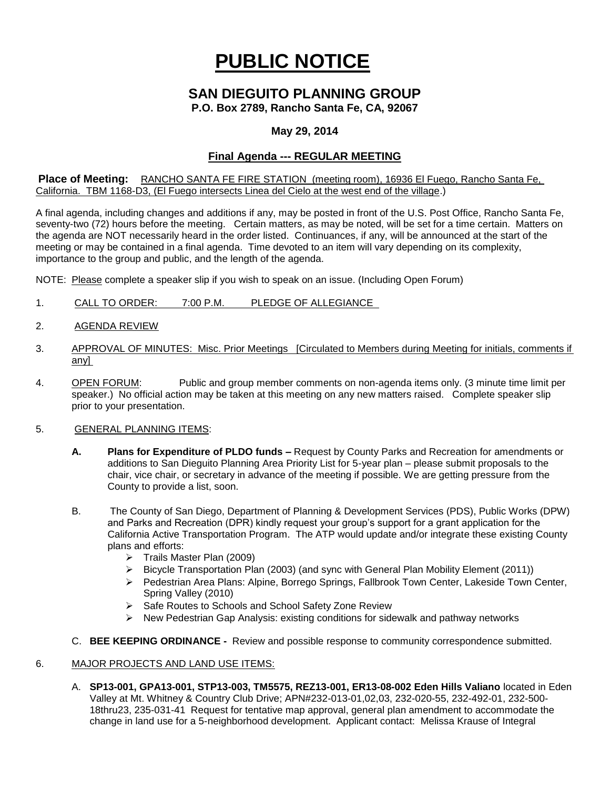# **PUBLIC NOTICE**

# **SAN DIEGUITO PLANNING GROUP**

**P.O. Box 2789, Rancho Santa Fe, CA, 92067**

### **May 29, 2014**

## **Final Agenda --- REGULAR MEETING**

**Place of Meeting:** RANCHO SANTA FE FIRE STATION (meeting room), 16936 El Fuego, Rancho Santa Fe, California. TBM 1168-D3, (El Fuego intersects Linea del Cielo at the west end of the village.)

A final agenda, including changes and additions if any, may be posted in front of the U.S. Post Office, Rancho Santa Fe, seventy-two (72) hours before the meeting. Certain matters, as may be noted, will be set for a time certain. Matters on the agenda are NOT necessarily heard in the order listed. Continuances, if any, will be announced at the start of the meeting or may be contained in a final agenda. Time devoted to an item will vary depending on its complexity, importance to the group and public, and the length of the agenda.

NOTE: Please complete a speaker slip if you wish to speak on an issue. (Including Open Forum)

- 1. CALL TO ORDER: 7:00 P.M. PLEDGE OF ALLEGIANCE
- 2. AGENDA REVIEW
- 3. APPROVAL OF MINUTES: Misc. Prior Meetings [Circulated to Members during Meeting for initials, comments if any]
- 4. OPEN FORUM: Public and group member comments on non-agenda items only. (3 minute time limit per speaker.) No official action may be taken at this meeting on any new matters raised. Complete speaker slip prior to your presentation.
- 5. GENERAL PLANNING ITEMS:
	- **A. Plans for Expenditure of PLDO funds –** Request by County Parks and Recreation for amendments or additions to San Dieguito Planning Area Priority List for 5-year plan – please submit proposals to the chair, vice chair, or secretary in advance of the meeting if possible. We are getting pressure from the County to provide a list, soon.
	- B. The County of San Diego, Department of Planning & Development Services (PDS), Public Works (DPW) and Parks and Recreation (DPR) kindly request your group's support for a grant application for the California Active Transportation Program. The ATP would update and/or integrate these existing County plans and efforts:
		- $\triangleright$  Trails Master Plan (2009)
		- Bicycle Transportation Plan (2003) (and sync with General Plan Mobility Element (2011))
		- ▶ Pedestrian Area Plans: Alpine, Borrego Springs, Fallbrook Town Center, Lakeside Town Center, Spring Valley (2010)
		- ▶ Safe Routes to Schools and School Safety Zone Review
		- $\triangleright$  New Pedestrian Gap Analysis: existing conditions for sidewalk and pathway networks
	- C. **BEE KEEPING ORDINANCE** Review and possible response to community correspondence submitted.

#### 6. MAJOR PROJECTS AND LAND USE ITEMS:

A. **SP13-001, GPA13-001, STP13-003, TM5575, REZ13-001, ER13-08-002 Eden Hills Valiano** located in Eden Valley at Mt. Whitney & Country Club Drive; APN#232-013-01,02,03, 232-020-55, 232-492-01, 232-500- 18thru23, 235-031-41 Request for tentative map approval, general plan amendment to accommodate the change in land use for a 5-neighborhood development. Applicant contact: Melissa Krause of Integral